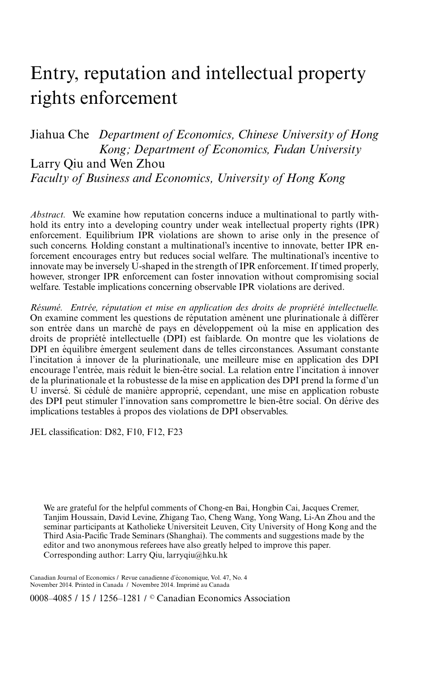# Entry, reputation and intellectual property rights enforcement

Jiahua Che *Department of Economics, Chinese University of Hong Kong; Department of Economics, Fudan University* Larry Qiu and Wen Zhou *Faculty of Business and Economics, University of Hong Kong*

*Abstract.* We examine how reputation concerns induce a multinational to partly withhold its entry into a developing country under weak intellectual property rights (IPR) enforcement. Equilibrium IPR violations are shown to arise only in the presence of such concerns. Holding constant a multinational's incentive to innovate, better IPR enforcement encourages entry but reduces social welfare. The multinational's incentive to innovate may be inversely U-shaped in the strength of IPR enforcement. If timed properly, however, stronger IPR enforcement can foster innovation without compromising social welfare. Testable implications concerning observable IPR violations are derived.

*Resum ´ e. Entr ´ ee, r ´ eputation et mise en application des droits de propri ´ et´ e intellectuelle. ´* On examine comment les questions de réputation amènent une plurinationale à différer son entrée dans un marché de pays en développement où la mise en application des droits de propriété intellectuelle (DPI) est faiblarde. On montre que les violations de DPI en équilibre émergent seulement dans de telles circonstances. Assumant constante l'incitation a innover de la plurinationale, une meilleure mise en application des DPI ` encourage l'entrée, mais réduit le bien-être social. La relation entre l'incitation à innover de la plurinationale et la robustesse de la mise en application des DPI prend la forme d'un U inversé. Si cédulé de manière approprié, cependant, une mise en application robuste des DPI peut stimuler l'innovation sans compromettre le bien-être social. On dérive des implications testables a propos des violations de DPI observables. `

JEL classification: D82, F10, F12, F23

We are grateful for the helpful comments of Chong-en Bai, Hongbin Cai, Jacques Cremer, Tanjim Houssain, David Levine, Zhigang Tao, Cheng Wang, Yong Wang, Li-An Zhou and the seminar participants at Katholieke Universiteit Leuven, City University of Hong Kong and the Third Asia-Pacific Trade Seminars (Shanghai). The comments and suggestions made by the editor and two anonymous referees have also greatly helped to improve this paper. Corresponding author: Larry Qiu, larryqiu@hku.hk

Canadian Journal of Economics / Revue canadienne d'economique, Vol. 47, No. 4 ´ November 2014. Printed in Canada / Novembre 2014. Imprime au Canada ´

0008–4085 / 15 / 1256–1281 / © Canadian Economics Association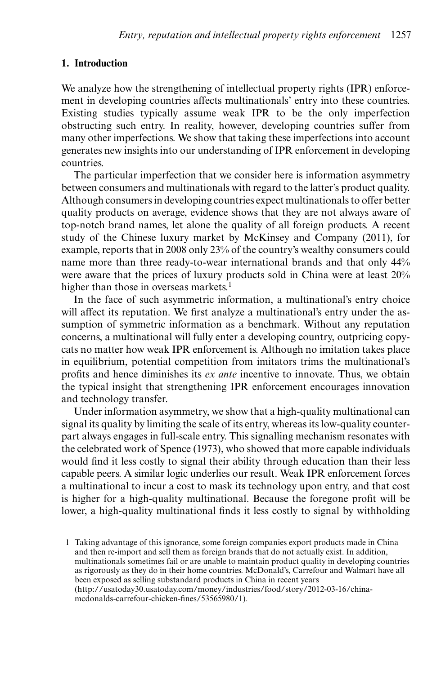## **1. Introduction**

We analyze how the strengthening of intellectual property rights (IPR) enforcement in developing countries affects multinationals' entry into these countries. Existing studies typically assume weak IPR to be the only imperfection obstructing such entry. In reality, however, developing countries suffer from many other imperfections. We show that taking these imperfections into account generates new insights into our understanding of IPR enforcement in developing countries.

The particular imperfection that we consider here is information asymmetry between consumers and multinationals with regard to the latter's product quality. Although consumers in developing countries expect multinationals to offer better quality products on average, evidence shows that they are not always aware of top-notch brand names, let alone the quality of all foreign products. A recent study of the Chinese luxury market by McKinsey and Company (2011), for example, reports that in 2008 only 23% of the country's wealthy consumers could name more than three ready-to-wear international brands and that only 44% were aware that the prices of luxury products sold in China were at least 20% higher than those in overseas markets.<sup>1</sup>

In the face of such asymmetric information, a multinational's entry choice will affect its reputation. We first analyze a multinational's entry under the assumption of symmetric information as a benchmark. Without any reputation concerns, a multinational will fully enter a developing country, outpricing copycats no matter how weak IPR enforcement is. Although no imitation takes place in equilibrium, potential competition from imitators trims the multinational's profits and hence diminishes its *ex ante* incentive to innovate. Thus, we obtain the typical insight that strengthening IPR enforcement encourages innovation and technology transfer.

Under information asymmetry, we show that a high-quality multinational can signal its quality by limiting the scale of its entry, whereas its low-quality counterpart always engages in full-scale entry. This signalling mechanism resonates with the celebrated work of Spence (1973), who showed that more capable individuals would find it less costly to signal their ability through education than their less capable peers. A similar logic underlies our result. Weak IPR enforcement forces a multinational to incur a cost to mask its technology upon entry, and that cost is higher for a high-quality multinational. Because the foregone profit will be lower, a high-quality multinational finds it less costly to signal by withholding

<sup>1</sup> Taking advantage of this ignorance, some foreign companies export products made in China and then re-import and sell them as foreign brands that do not actually exist. In addition, multinationals sometimes fail or are unable to maintain product quality in developing countries as rigorously as they do in their home countries. McDonald's, Carrefour and Walmart have all been exposed as selling substandard products in China in recent years (http://usatoday30.usatoday.com/money/industries/food/story/2012-03-16/chinamcdonalds-carrefour-chicken-fines/53565980/1).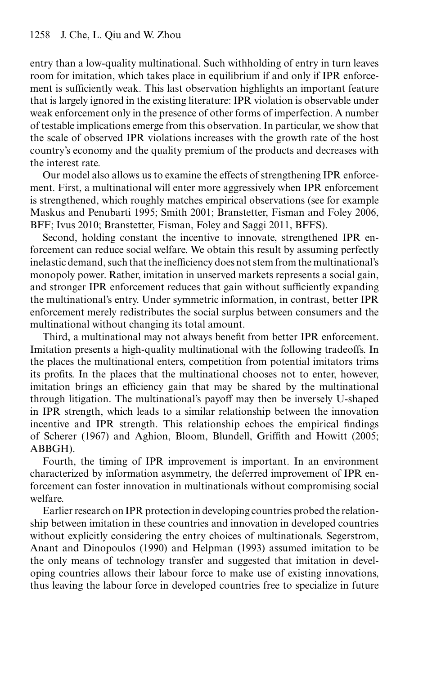entry than a low-quality multinational. Such withholding of entry in turn leaves room for imitation, which takes place in equilibrium if and only if IPR enforcement is sufficiently weak. This last observation highlights an important feature that is largely ignored in the existing literature: IPR violation is observable under weak enforcement only in the presence of other forms of imperfection. A number of testable implications emerge from this observation. In particular, we show that the scale of observed IPR violations increases with the growth rate of the host country's economy and the quality premium of the products and decreases with the interest rate.

Our model also allows us to examine the effects of strengthening IPR enforcement. First, a multinational will enter more aggressively when IPR enforcement is strengthened, which roughly matches empirical observations (see for example Maskus and Penubarti 1995; Smith 2001; Branstetter, Fisman and Foley 2006, BFF; Ivus 2010; Branstetter, Fisman, Foley and Saggi 2011, BFFS).

Second, holding constant the incentive to innovate, strengthened IPR enforcement can reduce social welfare. We obtain this result by assuming perfectly inelastic demand, such that the inefficiency does not stem from the multinational's monopoly power. Rather, imitation in unserved markets represents a social gain, and stronger IPR enforcement reduces that gain without sufficiently expanding the multinational's entry. Under symmetric information, in contrast, better IPR enforcement merely redistributes the social surplus between consumers and the multinational without changing its total amount.

Third, a multinational may not always benefit from better IPR enforcement. Imitation presents a high-quality multinational with the following tradeoffs. In the places the multinational enters, competition from potential imitators trims its profits. In the places that the multinational chooses not to enter, however, imitation brings an efficiency gain that may be shared by the multinational through litigation. The multinational's payoff may then be inversely U-shaped in IPR strength, which leads to a similar relationship between the innovation incentive and IPR strength. This relationship echoes the empirical findings of Scherer (1967) and Aghion, Bloom, Blundell, Griffith and Howitt (2005; ABBGH).

Fourth, the timing of IPR improvement is important. In an environment characterized by information asymmetry, the deferred improvement of IPR enforcement can foster innovation in multinationals without compromising social welfare.

Earlier research on IPR protection in developing countries probed the relationship between imitation in these countries and innovation in developed countries without explicitly considering the entry choices of multinationals. Segerstrom, Anant and Dinopoulos (1990) and Helpman (1993) assumed imitation to be the only means of technology transfer and suggested that imitation in developing countries allows their labour force to make use of existing innovations, thus leaving the labour force in developed countries free to specialize in future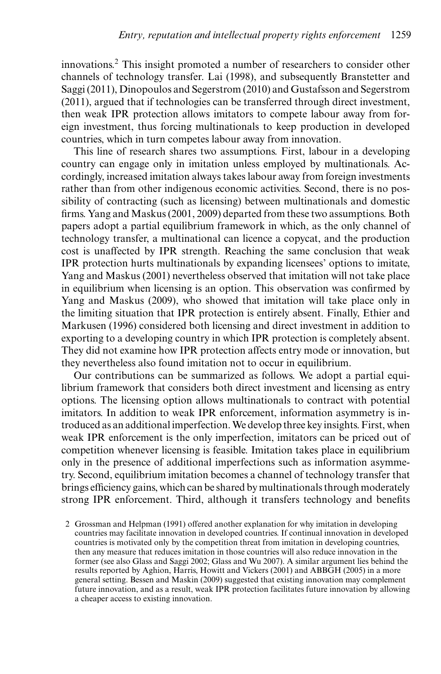innovations.<sup>2</sup> This insight promoted a number of researchers to consider other channels of technology transfer. Lai (1998), and subsequently Branstetter and Saggi (2011), Dinopoulos and Segerstrom (2010) and Gustafsson and Segerstrom (2011), argued that if technologies can be transferred through direct investment, then weak IPR protection allows imitators to compete labour away from foreign investment, thus forcing multinationals to keep production in developed countries, which in turn competes labour away from innovation.

This line of research shares two assumptions. First, labour in a developing country can engage only in imitation unless employed by multinationals. Accordingly, increased imitation always takes labour away from foreign investments rather than from other indigenous economic activities. Second, there is no possibility of contracting (such as licensing) between multinationals and domestic firms. Yang and Maskus (2001, 2009) departed from these two assumptions. Both papers adopt a partial equilibrium framework in which, as the only channel of technology transfer, a multinational can licence a copycat, and the production cost is unaffected by IPR strength. Reaching the same conclusion that weak IPR protection hurts multinationals by expanding licensees' options to imitate, Yang and Maskus (2001) nevertheless observed that imitation will not take place in equilibrium when licensing is an option. This observation was confirmed by Yang and Maskus (2009), who showed that imitation will take place only in the limiting situation that IPR protection is entirely absent. Finally, Ethier and Markusen (1996) considered both licensing and direct investment in addition to exporting to a developing country in which IPR protection is completely absent. They did not examine how IPR protection affects entry mode or innovation, but they nevertheless also found imitation not to occur in equilibrium.

Our contributions can be summarized as follows. We adopt a partial equilibrium framework that considers both direct investment and licensing as entry options. The licensing option allows multinationals to contract with potential imitators. In addition to weak IPR enforcement, information asymmetry is introduced as an additional imperfection.We develop three key insights. First, when weak IPR enforcement is the only imperfection, imitators can be priced out of competition whenever licensing is feasible. Imitation takes place in equilibrium only in the presence of additional imperfections such as information asymmetry. Second, equilibrium imitation becomes a channel of technology transfer that brings efficiency gains, which can be shared by multinationals through moderately strong IPR enforcement. Third, although it transfers technology and benefits

<sup>2</sup> Grossman and Helpman (1991) offered another explanation for why imitation in developing countries may facilitate innovation in developed countries. If continual innovation in developed countries is motivated only by the competition threat from imitation in developing countries, then any measure that reduces imitation in those countries will also reduce innovation in the former (see also Glass and Saggi 2002; Glass and Wu 2007). A similar argument lies behind the results reported by Aghion, Harris, Howitt and Vickers (2001) and ABBGH (2005) in a more general setting. Bessen and Maskin (2009) suggested that existing innovation may complement future innovation, and as a result, weak IPR protection facilitates future innovation by allowing a cheaper access to existing innovation.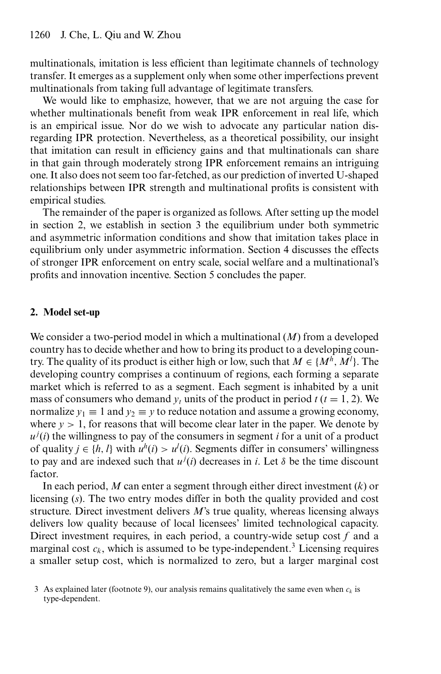multinationals, imitation is less efficient than legitimate channels of technology transfer. It emerges as a supplement only when some other imperfections prevent multinationals from taking full advantage of legitimate transfers.

We would like to emphasize, however, that we are not arguing the case for whether multinationals benefit from weak IPR enforcement in real life, which is an empirical issue. Nor do we wish to advocate any particular nation disregarding IPR protection. Nevertheless, as a theoretical possibility, our insight that imitation can result in efficiency gains and that multinationals can share in that gain through moderately strong IPR enforcement remains an intriguing one. It also does not seem too far-fetched, as our prediction of inverted U-shaped relationships between IPR strength and multinational profits is consistent with empirical studies.

The remainder of the paper is organized as follows. After setting up the model in section 2, we establish in section 3 the equilibrium under both symmetric and asymmetric information conditions and show that imitation takes place in equilibrium only under asymmetric information. Section 4 discusses the effects of stronger IPR enforcement on entry scale, social welfare and a multinational's profits and innovation incentive. Section 5 concludes the paper.

# **2. Model set-up**

We consider a two-period model in which a multinational (*M*) from a developed country has to decide whether and how to bring its product to a developing country. The quality of its product is either high or low, such that  $M \in \{M^h, M^l\}$ . The developing country comprises a continuum of regions, each forming a separate market which is referred to as a segment. Each segment is inhabited by a unit mass of consumers who demand  $y_t$  units of the product in period  $t$  ( $t = 1, 2$ ). We normalize  $y_1 \equiv 1$  and  $y_2 \equiv y$  to reduce notation and assume a growing economy, where  $y > 1$ , for reasons that will become clear later in the paper. We denote by  $u^j(i)$  the willingness to pay of the consumers in segment *i* for a unit of a product of quality *j* ∈ {*h*, *l*} with  $u^h(i) > u^l(i)$ . Segments differ in consumers' willingness to pay and are indexed such that  $u^{j}(i)$  decreases in *i*. Let  $\delta$  be the time discount factor.

In each period, *M* can enter a segment through either direct investment (*k*) or licensing (*s*). The two entry modes differ in both the quality provided and cost structure. Direct investment delivers *M*'s true quality, whereas licensing always delivers low quality because of local licensees' limited technological capacity. Direct investment requires, in each period, a country-wide setup cost *f* and a marginal cost  $c_k$ , which is assumed to be type-independent.<sup>3</sup> Licensing requires a smaller setup cost, which is normalized to zero, but a larger marginal cost

<sup>3</sup> As explained later (footnote 9), our analysis remains qualitatively the same even when  $c_k$  is type-dependent.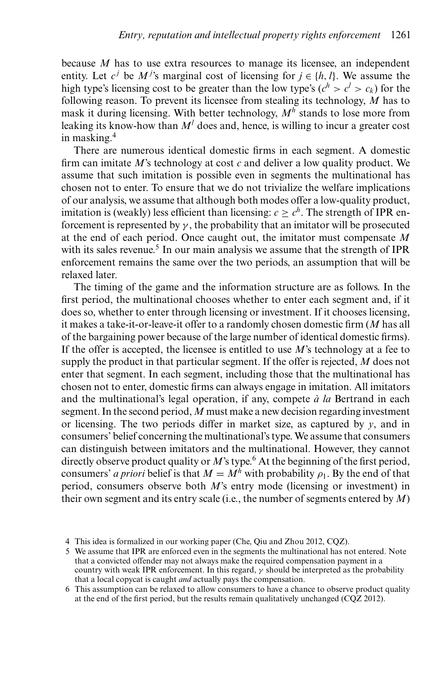because *M* has to use extra resources to manage its licensee, an independent entity. Let  $c^j$  be  $M^j$ 's marginal cost of licensing for  $j \in \{h, l\}$ . We assume the high type's licensing cost to be greater than the low type's  $(c^h > c^l > c_k)$  for the following reason. To prevent its licensee from stealing its technology, *M* has to mask it during licensing. With better technology,  $M^h$  stands to lose more from leaking its know-how than  $M<sup>l</sup>$  does and, hence, is willing to incur a greater cost in masking.4

There are numerous identical domestic firms in each segment. A domestic firm can imitate *M*'s technology at cost *c* and deliver a low quality product. We assume that such imitation is possible even in segments the multinational has chosen not to enter. To ensure that we do not trivialize the welfare implications of our analysis, we assume that although both modes offer a low-quality product, imitation is (weakly) less efficient than licensing:  $c > c<sup>h</sup>$ . The strength of IPR enforcement is represented by  $\gamma$ , the probability that an imitator will be prosecuted at the end of each period. Once caught out, the imitator must compensate *M* with its sales revenue.<sup>5</sup> In our main analysis we assume that the strength of IPR enforcement remains the same over the two periods, an assumption that will be relaxed later.

The timing of the game and the information structure are as follows. In the first period, the multinational chooses whether to enter each segment and, if it does so, whether to enter through licensing or investment. If it chooses licensing, it makes a take-it-or-leave-it offer to a randomly chosen domestic firm (*M* has all of the bargaining power because of the large number of identical domestic firms). If the offer is accepted, the licensee is entitled to use *M*'s technology at a fee to supply the product in that particular segment. If the offer is rejected, *M* does not enter that segment. In each segment, including those that the multinational has chosen not to enter, domestic firms can always engage in imitation. All imitators and the multinational's legal operation, if any, compete  $\dot{a}$  *la* Bertrand in each segment. In the second period, *M* must make a new decision regarding investment or licensing. The two periods differ in market size, as captured by *y*, and in consumers' belief concerning the multinational's type. We assume that consumers can distinguish between imitators and the multinational. However, they cannot directly observe product quality or *M*'s type.<sup>6</sup> At the beginning of the first period, consumers' *a priori* belief is that  $M = M^h$  with probability  $\rho_1$ . By the end of that period, consumers observe both *M*'s entry mode (licensing or investment) in their own segment and its entry scale (i.e., the number of segments entered by *M*)

<sup>4</sup> This idea is formalized in our working paper (Che, Qiu and Zhou 2012, CQZ).

<sup>5</sup> We assume that IPR are enforced even in the segments the multinational has not entered. Note that a convicted offender may not always make the required compensation payment in a country with weak IPR enforcement. In this regard,  $\gamma$  should be interpreted as the probability that a local copycat is caught *and* actually pays the compensation.

<sup>6</sup> This assumption can be relaxed to allow consumers to have a chance to observe product quality at the end of the first period, but the results remain qualitatively unchanged (CQZ 2012).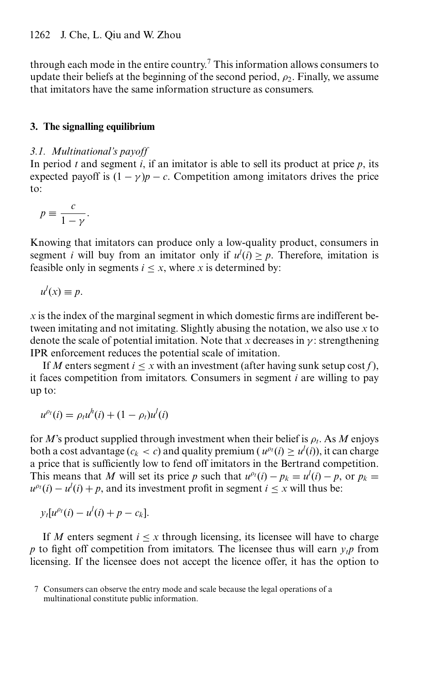through each mode in the entire country.<sup>7</sup> This information allows consumers to update their beliefs at the beginning of the second period,  $\rho_2$ . Finally, we assume that imitators have the same information structure as consumers.

# **3. The signalling equilibrium**

# *3.1. Multinational's payoff*

In period  $t$  and segment  $i$ , if an imitator is able to sell its product at price  $p$ , its expected payoff is  $(1 - \gamma)p - c$ . Competition among imitators drives the price to:

$$
p \equiv \frac{c}{1 - \gamma}.
$$

Knowing that imitators can produce only a low-quality product, consumers in segment *i* will buy from an imitator only if  $u^l(i) \geq p$ . Therefore, imitation is feasible only in segments  $i \leq x$ , where *x* is determined by:

$$
u^l(x) \equiv p.
$$

 $x$  is the index of the marginal segment in which domestic firms are indifferent between imitating and not imitating. Slightly abusing the notation, we also use *x* to denote the scale of potential imitation. Note that *x* decreases in  $\gamma$ : strengthening IPR enforcement reduces the potential scale of imitation.

If *M* enters segment  $i \leq x$  with an investment (after having sunk setup cost f), it faces competition from imitators. Consumers in segment *i* are willing to pay up to:

$$
u^{\rho_t}(i) = \rho_t u^h(i) + (1 - \rho_t) u^l(i)
$$

for *M*'s product supplied through investment when their belief is  $\rho_t$ . As *M* enjoys both a cost advantage ( $c_k < c$ ) and quality premium ( $u^{\rho_t}(i) \ge u^l(i)$ ), it can charge a price that is sufficiently low to fend off imitators in the Bertrand competition. This means that *M* will set its price *p* such that  $u^{p}(i) - p_k = u^l(i) - p$ , or  $p_k =$  $u^{p_i}(i) - u^l(i) + p$ , and its investment profit in segment  $i \leq x$  will thus be:

$$
y_t[u^{\rho_t}(i)-u^l(i)+p-c_k].
$$

If *M* enters segment  $i \leq x$  through licensing, its licensee will have to charge *p* to fight off competition from imitators. The licensee thus will earn  $v_t p$  from licensing. If the licensee does not accept the licence offer, it has the option to

<sup>7</sup> Consumers can observe the entry mode and scale because the legal operations of a multinational constitute public information.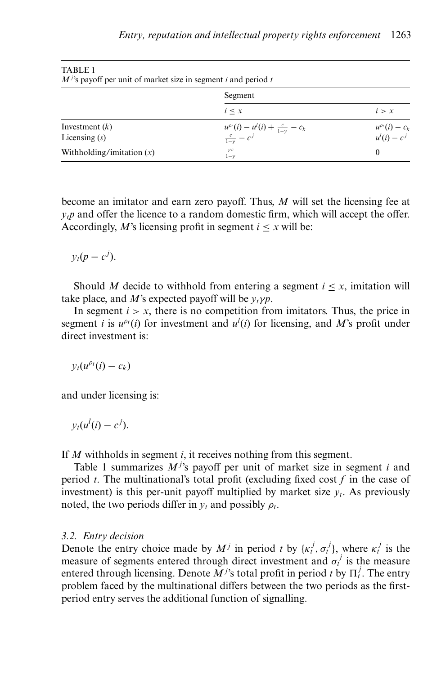| .<br>$M^{j}$ 's payoff per unit of market size in segment i and period t |                                                                                   |                                         |
|--------------------------------------------------------------------------|-----------------------------------------------------------------------------------|-----------------------------------------|
|                                                                          | Segment                                                                           |                                         |
|                                                                          | $i \leq x$                                                                        | i > x                                   |
| Investment $(k)$<br>Licensing $(s)$                                      | $u^{\rho_i}(i) - u^l(i) + \frac{c}{1-\gamma} - c_k$<br>$\frac{c}{1-\gamma} - c^j$ | $u^{\rho_i}(i) - c_k$<br>$u^l(i) - c^j$ |
| Withholding/imitation $(x)$                                              | $\frac{\gamma c}{1-\gamma}$                                                       | $\theta$                                |

TABLE 1

become an imitator and earn zero payoff. Thus, *M* will set the licensing fee at  $y_t$  and offer the licence to a random domestic firm, which will accept the offer. Accordingly, *M*'s licensing profit in segment  $i < x$  will be:

 $y_t(p-c^j)$ .

Should *M* decide to withhold from entering a segment  $i < x$ , imitation will take place, and *M*'s expected payoff will be  $v_t \gamma p$ .

In segment  $i > x$ , there is no competition from imitators. Thus, the price in segment *i* is  $u^{\rho_i}(i)$  for investment and  $u^i(i)$  for licensing, and M's profit under direct investment is:

 $y_t(u^{\rho_t}(i) - c_k)$ 

and under licensing is:

 $y_t(u^l(i) - c^j).$ 

If *M* withholds in segment *i*, it receives nothing from this segment.

Table 1 summarizes  $M^{j}$ 's payoff per unit of market size in segment *i* and period *t*. The multinational's total profit (excluding fixed cost *f* in the case of investment) is this per-unit payoff multiplied by market size  $y_t$ . As previously noted, the two periods differ in  $y_t$  and possibly  $\rho_t$ .

# *3.2. Entry decision*

Denote the entry choice made by  $M^j$  in period t by  $\{k_t^j, \sigma_t^j\}$ , where  $k_t^j$  is the measure of segments entered through direct investment and  $\sigma_t^j$  is the measure entered through licensing. Denote  $\overline{M}^j$ 's total profit in period *t* by  $\Pi_t^j$ . The entry problem faced by the multinational differs between the two periods as the firstperiod entry serves the additional function of signalling.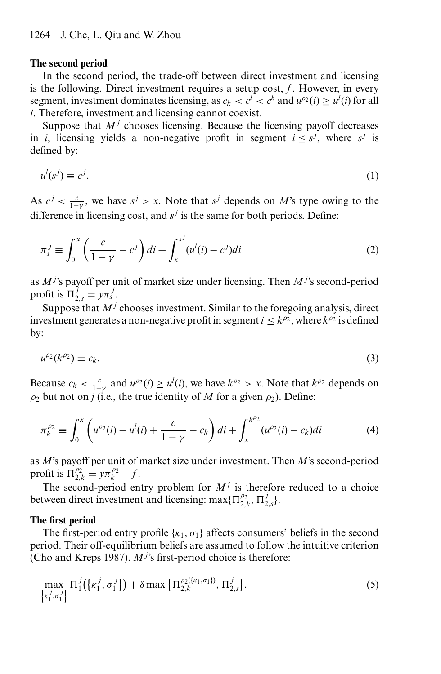#### **The second period**

In the second period, the trade-off between direct investment and licensing is the following. Direct investment requires a setup cost, *f*. However, in every segment, investment dominates licensing, as  $c_k < c^l < c^h$  and  $u^{\rho_2}(i) \ge u^l(i)$  for all *i*. Therefore, investment and licensing cannot coexist.

Suppose that  $M<sup>j</sup>$  chooses licensing. Because the licensing payoff decreases in *i*, licensing yields a non-negative profit in segment  $i \leq s^j$ , where  $s^j$  is defined by:

$$
u^l(s^j) \equiv c^j. \tag{1}
$$

As  $c^j < \frac{c}{1-\gamma}$ , we have  $s^j > x$ . Note that  $s^j$  depends on *M*'s type owing to the difference in licensing cost, and *s<sup>j</sup>* is the same for both periods. Define:

$$
\pi_s^j \equiv \int_0^x \left( \frac{c}{1-\gamma} - c^j \right) di + \int_x^{s^j} (u^l(i) - c^j) di \tag{2}
$$

as *M <sup>j</sup>* 's payoff per unit of market size under licensing. Then *M <sup>j</sup>* 's second-period profit is  $\Pi_{2,s}^j = y\pi_s^j$ .

Suppose that  $M<sup>j</sup>$  chooses investment. Similar to the foregoing analysis, direct investment generates a non-negative profit in segment  $i \leq k^{\rho_2}$ , where  $k^{\rho_2}$  is defined by:

$$
u^{\rho_2}(k^{\rho_2}) \equiv c_k. \tag{3}
$$

Because  $c_k < \frac{c}{1-\gamma}$  and  $u^{\rho_2}(i) \ge u^l(i)$ , we have  $k^{\rho_2} > x$ . Note that  $k^{\rho_2}$  depends on  $\rho_2$  but not on *j* (i.e., the true identity of *M* for a given  $\rho_2$ ). Define:

$$
\pi_k^{\rho_2} \equiv \int_0^x \left( u^{\rho_2}(i) - u^l(i) + \frac{c}{1 - \gamma} - c_k \right) di + \int_x^{k^{\rho_2}} (u^{\rho_2}(i) - c_k) di \tag{4}
$$

as *M*'s payoff per unit of market size under investment. Then *M*'s second-period profit is  $\Pi_{2,k}^{\rho_2} = y\pi_k^{\rho_2} - f$ .

The second-period entry problem for  $M<sup>j</sup>$  is therefore reduced to a choice between direct investment and licensing: max $\{\Pi_{2,k}^{\rho_2}, \Pi_{2,s}^j\}.$ 

#### **The first period**

The first-period entry profile  $\{\kappa_1, \sigma_1\}$  affects consumers' beliefs in the second period. Their off-equilibrium beliefs are assumed to follow the intuitive criterion (Cho and Kreps 1987).  $M^j$ 's first-period choice is therefore:

$$
\max_{\left\{ \kappa_1^j, \sigma_1^j \right\}} \Pi_1^j(\left\{ \kappa_1^j, \sigma_1^j \right\}) + \delta \max \left\{ \Pi_{2,k}^{\rho_2(\left\{ \kappa_1, \sigma_1 \right\})}, \Pi_{2,s}^j \right\}.
$$
 (5)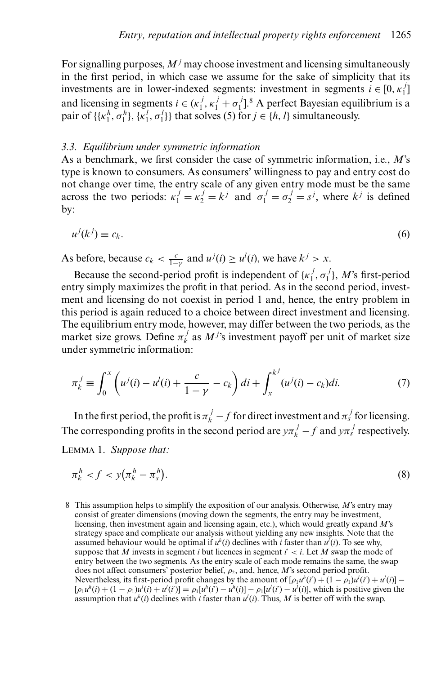For signalling purposes,  $M<sup>j</sup>$  may choose investment and licensing simultaneously in the first period, in which case we assume for the sake of simplicity that its investments are in lower-indexed segments: investment in segments  $i \in [0, \kappa_1^j]$ and licensing in segments  $i \in (\kappa_1^j, \kappa_1^j + \sigma_1^j]^8$ . A perfect Bayesian equilibrium is a pair of  $\{\{\kappa_1^h, \sigma_1^h\}, \{\kappa_1^l, \sigma_1^l\}\}\$  that solves (5) for  $j \in \{h, l\}$  simultaneously.

#### *3.3. Equilibrium under symmetric information*

As a benchmark, we first consider the case of symmetric information, i.e., *M*'s type is known to consumers. As consumers' willingness to pay and entry cost do not change over time, the entry scale of any given entry mode must be the same across the two periods:  $\kappa_1^j = \kappa_2^j = k^j$  and  $\sigma_1^j = \sigma_2^j = s^j$ , where  $k^j$  is defined by:

$$
u^j(k^j) \equiv c_k. \tag{6}
$$

As before, because  $c_k < \frac{c}{1-\gamma}$  and  $u^j(i) \ge u^l(i)$ , we have  $k^j > x$ .

Because the second-period profit is independent of  $\{\kappa_1^j, \sigma_1^j\}$ , *M*'s first-period entry simply maximizes the profit in that period. As in the second period, investment and licensing do not coexist in period 1 and, hence, the entry problem in this period is again reduced to a choice between direct investment and licensing. The equilibrium entry mode, however, may differ between the two periods, as the market size grows. Define  $\pi_k^j$  as  $M^j$ 's investment payoff per unit of market size under symmetric information:

$$
\pi_k^j \equiv \int_0^x \left( u^j(i) - u^l(i) + \frac{c}{1 - \gamma} - c_k \right) di + \int_x^{k^j} (u^j(i) - c_k) di. \tag{7}
$$

In the first period, the profit is  $\pi_k^j - f$  for direct investment and  $\pi_s^j$  for licensing. The corresponding profits in the second period are  $y\pi_k^j - f$  and  $y\pi_s^j$  respectively.

LEMMA 1. *Suppose that:*

$$
\pi_k^h < f < y(\pi_k^h - \pi_s^h). \tag{8}
$$

8 This assumption helps to simplify the exposition of our analysis. Otherwise, *M*'s entry may consist of greater dimensions (moving down the segments, the entry may be investment, licensing, then investment again and licensing again, etc.), which would greatly expand *M*'s strategy space and complicate our analysis without yielding any new insights. Note that the assumed behaviour would be optimal if  $u^h(i)$  declines with *i* faster than  $u^l(i)$ . To see why, suppose that *M* invests in segment *i* but licences in segment *i* < *i*. Let *M* swap the mode of entry between the two segments. As the entry scale of each mode remains the same, the swap does not affect consumers' posterior belief,  $\rho_2$ , and, hence,  $M$ 's second period profit. Nevertheless, its first-period profit changes by the amount of  $[\rho_1 u^h(i') + (1 - \rho_1) u^l(i') + u^l(i)]$  $[\rho_1 u^h(i) + (1 - \rho_1) u^l(i) + u^l(i')] = \rho_1 [u^h(i') - u^h(i)] - \rho_1 [u^l(i') - u^l(i)]$ , which is positive given the assumption that  $u^h(i)$  declines with *i* faster than  $u^l(i)$ . Thus, M is better off with the swap.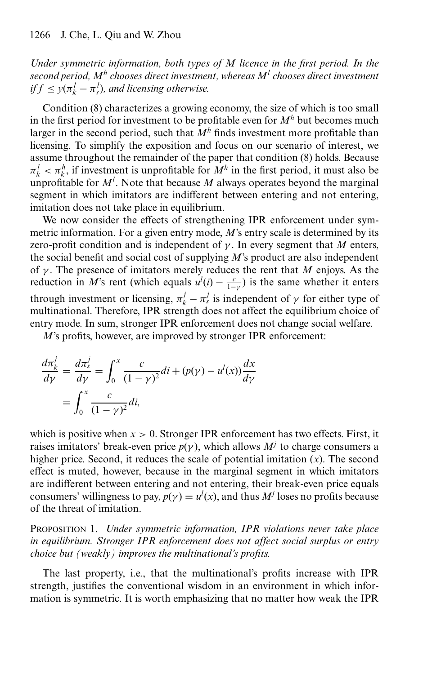*Under symmetric information, both types of M licence in the first period. In the second period, M<sup>h</sup> chooses direct investment, whereas M<sup>l</sup> chooses direct investment if*  $f \leq y(\pi_k^l - \pi_s^l)$ *, and licensing otherwise.* 

Condition (8) characterizes a growing economy, the size of which is too small in the first period for investment to be profitable even for  $M<sup>h</sup>$  but becomes much larger in the second period, such that  $M<sup>h</sup>$  finds investment more profitable than licensing. To simplify the exposition and focus on our scenario of interest, we assume throughout the remainder of the paper that condition (8) holds. Because  $\pi_k^l < \pi_k^h$ , if investment is unprofitable for  $M^h$  in the first period, it must also be unprofitable for  $M^l$ . Note that because  $M$  always operates beyond the marginal segment in which imitators are indifferent between entering and not entering, imitation does not take place in equilibrium.

We now consider the effects of strengthening IPR enforcement under symmetric information. For a given entry mode, *M*'s entry scale is determined by its zero-profit condition and is independent of  $\gamma$ . In every segment that *M* enters, the social benefit and social cost of supplying *M*'s product are also independent of  $\gamma$ . The presence of imitators merely reduces the rent that *M* enjoys. As the reduction in *M*'s rent (which equals  $u^l(i) - \frac{c}{1-\gamma}$ ) is the same whether it enters through investment or licensing,  $\pi_k^j - \pi_s^j$  is independent of  $\gamma$  for either type of multinational. Therefore, IPR strength does not affect the equilibrium choice of entry mode. In sum, stronger IPR enforcement does not change social welfare.

*M*'s profits, however, are improved by stronger IPR enforcement:

$$
\frac{d\pi_k^j}{d\gamma} = \frac{d\pi_s^j}{d\gamma} = \int_0^x \frac{c}{(1-\gamma)^2} di + (p(\gamma) - u^l(x)) \frac{dx}{d\gamma}
$$

$$
= \int_0^x \frac{c}{(1-\gamma)^2} di,
$$

which is positive when  $x > 0$ . Stronger IPR enforcement has two effects. First, it raises imitators' break-even price  $p(y)$ , which allows  $M<sup>j</sup>$  to charge consumers a higher price. Second, it reduces the scale of potential imitation (*x*). The second effect is muted, however, because in the marginal segment in which imitators are indifferent between entering and not entering, their break-even price equals consumers' willingness to pay,  $p(\gamma) = u^l(x)$ , and thus  $M^j$  loses no profits because of the threat of imitation.

PROPOSITION 1. *Under symmetric information, IPR violations never take place in equilibrium. Stronger IPR enforcement does not affect social surplus or entry choice but (weakly) improves the multinational's profits.*

The last property, i.e., that the multinational's profits increase with IPR strength, justifies the conventional wisdom in an environment in which information is symmetric. It is worth emphasizing that no matter how weak the IPR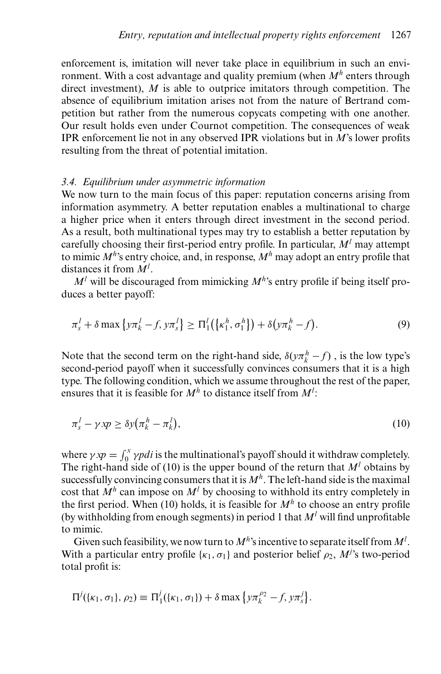enforcement is, imitation will never take place in equilibrium in such an environment. With a cost advantage and quality premium (when *M<sup>h</sup>* enters through direct investment), *M* is able to outprice imitators through competition. The absence of equilibrium imitation arises not from the nature of Bertrand competition but rather from the numerous copycats competing with one another. Our result holds even under Cournot competition. The consequences of weak IPR enforcement lie not in any observed IPR violations but in *M*'s lower profits resulting from the threat of potential imitation.

## *3.4. Equilibrium under asymmetric information*

We now turn to the main focus of this paper: reputation concerns arising from information asymmetry. A better reputation enables a multinational to charge a higher price when it enters through direct investment in the second period. As a result, both multinational types may try to establish a better reputation by carefully choosing their first-period entry profile. In particular, *M<sup>l</sup>* may attempt to mimic  $M^h$ 's entry choice, and, in response,  $M^h$  may adopt an entry profile that distances it from *M<sup>l</sup>* .

 $M<sup>l</sup>$  will be discouraged from mimicking  $M<sup>h</sup>$ 's entry profile if being itself produces a better payoff:

$$
\pi_s^l + \delta \max \left\{ y \pi_k^l - f, y \pi_s^l \right\} \ge \Pi_1^l \left( \left\{ \kappa_1^h, \sigma_1^h \right\} \right) + \delta \left( y \pi_k^h - f \right). \tag{9}
$$

Note that the second term on the right-hand side,  $\delta(y\pi_k^h - f)$ , is the low type's second-period payoff when it successfully convinces consumers that it is a high type. The following condition, which we assume throughout the rest of the paper, ensures that it is feasible for *M<sup>h</sup>* to distance itself from *M<sup>l</sup>* :

$$
\pi_s^l - \gamma \, \text{xp} \ge \delta \, \text{y} \big( \pi_k^h - \pi_k^l \big),\tag{10}
$$

where  $\gamma x p = \int_0^x \gamma p d\tau$  is the multinational's payoff should it withdraw completely. The right-hand side of (10) is the upper bound of the return that  $M<sup>l</sup>$  obtains by successfully convincing consumers that it is  $M^h$ . The left-hand side is the maximal cost that  $M^h$  can impose on  $M^l$  by choosing to withhold its entry completely in the first period. When (10) holds, it is feasible for  $M<sup>h</sup>$  to choose an entry profile (by withholding from enough segments) in period 1 that *M<sup>l</sup>* will find unprofitable to mimic.

Given such feasibility, we now turn to  $M^h$ 's incentive to separate itself from  $M^l$ . With a particular entry profile  $\{\kappa_1, \sigma_1\}$  and posterior belief  $\rho_2$ ,  $M^j$ 's two-period total profit is:

$$
\Pi^{j}(\{\kappa_1, \sigma_1\}, \rho_2) \equiv \Pi_1^{j}(\{\kappa_1, \sigma_1\}) + \delta \max \{y \pi_k^{\rho_2} - f, y \pi_s^{j}\}.
$$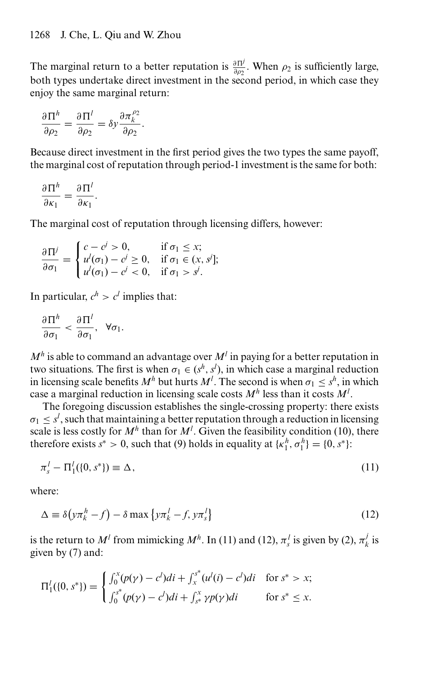The marginal return to a better reputation is  $\frac{\partial \Pi^j}{\partial \rho_2}$ . When  $\rho_2$  is sufficiently large, both types undertake direct investment in the second period, in which case they enjoy the same marginal return:

$$
\frac{\partial \Pi^h}{\partial \rho_2} = \frac{\partial \Pi^l}{\partial \rho_2} = \delta y \frac{\partial \pi_k^{\rho_2}}{\partial \rho_2}.
$$

Because direct investment in the first period gives the two types the same payoff, the marginal cost of reputation through period-1 investment is the same for both:

$$
\frac{\partial \Pi^h}{\partial \kappa_1} = \frac{\partial \Pi^l}{\partial \kappa_1}.
$$

The marginal cost of reputation through licensing differs, however:

$$
\frac{\partial \Pi^j}{\partial \sigma_1} = \begin{cases} c - c^j > 0, & \text{if } \sigma_1 \leq x; \\ u^l(\sigma_1) - c^j \geq 0, & \text{if } \sigma_1 \in (x, s^j]; \\ u^l(\sigma_1) - c^j < 0, & \text{if } \sigma_1 > s^j. \end{cases}
$$

In particular,  $c^h > c^l$  implies that:

$$
\frac{\partial \Pi^h}{\partial \sigma_1} < \frac{\partial \Pi^l}{\partial \sigma_1}, \ \forall \sigma_1.
$$

 $M<sup>h</sup>$  is able to command an advantage over  $M<sup>l</sup>$  in paying for a better reputation in two situations. The first is when  $\sigma_1 \in (s^h, s^l)$ , in which case a marginal reduction in licensing scale benefits  $M^h$  but hurts  $M^l$ . The second is when  $\sigma_1 \leq s^h$ , in which case a marginal reduction in licensing scale costs *M<sup>h</sup>* less than it costs *M<sup>l</sup>* .

The foregoing discussion establishes the single-crossing property: there exists  $\sigma_1 \leq s^l$ , such that maintaining a better reputation through a reduction in licensing scale is less costly for  $M^h$  than for  $M^l$ . Given the feasibility condition (10), there therefore exists  $s^* > 0$ , such that (9) holds in equality at  $\{\kappa_1^h, \sigma_1^h\} = \{0, s^*\}$ :

$$
\pi_s^l - \Pi_1^l(\{0, s^*\}) \equiv \Delta,\tag{11}
$$

where:

$$
\Delta \equiv \delta \left( y \pi_k^h - f \right) - \delta \max \left\{ y \pi_k^l - f, y \pi_s^l \right\} \tag{12}
$$

is the return to  $M^l$  from mimicking  $M^h$ . In (11) and (12),  $\pi_s^l$  is given by (2),  $\pi_k^l$  is given by (7) and:

$$
\Pi_1^l(\{0, s^*\}) = \begin{cases} \int_0^x (p(\gamma) - c^l)di + \int_x^{s^*} (u^l(i) - c^l)di & \text{for } s^* > x; \\ \int_0^{s^*} (p(\gamma) - c^l)di + \int_{s^*}^x \gamma p(\gamma)di & \text{for } s^* \leq x. \end{cases}
$$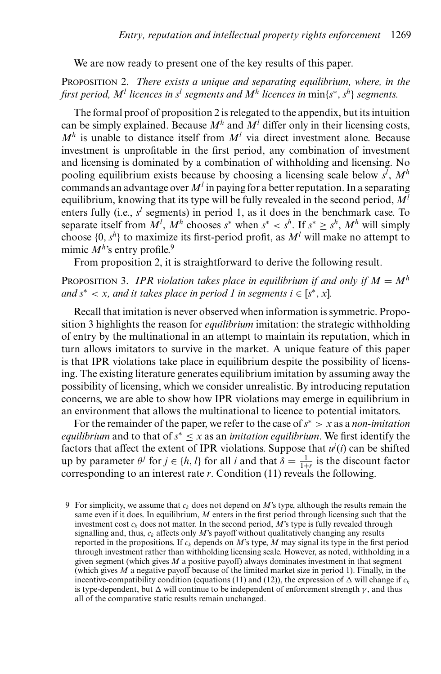We are now ready to present one of the key results of this paper.

PROPOSITION 2. *There exists a unique and separating equilibrium, where, in the first period, M<sup><i>l*</sup> *licences in s<sup><i>l*</sup> *segments and M<sup>h</sup> licences in* min{*s*<sup>\*</sup>, *s*<sup>h</sup>} *segments.* 

The formal proof of proposition 2 is relegated to the appendix, but its intuition can be simply explained. Because  $M^h$  and  $M^l$  differ only in their licensing costs,  $M<sup>h</sup>$  is unable to distance itself from  $M<sup>l</sup>$  via direct investment alone. Because investment is unprofitable in the first period, any combination of investment and licensing is dominated by a combination of withholding and licensing. No pooling equilibrium exists because by choosing a licensing scale below *sl* , *M<sup>h</sup>* commands an advantage over  $M<sup>l</sup>$  in paying for a better reputation. In a separating equilibrium, knowing that its type will be fully revealed in the second period, *M<sup>l</sup>* enters fully (i.e.,  $s^l$  segments) in period 1, as it does in the benchmark case. To separate itself from  $M^l$ ,  $M^h$  chooses  $s^*$  when  $s^* < s^h$ . If  $s^* \geq s^h$ ,  $M^h$  will simply choose  $\{0, s^h\}$  to maximize its first-period profit, as  $M^l$  will make no attempt to mimic  $M^{h}$ 's entry profile.<sup>9</sup>

From proposition 2, it is straightforward to derive the following result.

PROPOSITION 3. *IPR violation takes place in equilibrium if and only if*  $M = M<sup>h</sup>$ *and*  $s^* < x$ , and it takes place in period 1 in segments  $i \in [s^*, x]$ .

Recall that imitation is never observed when information is symmetric. Proposition 3 highlights the reason for *equilibrium* imitation: the strategic withholding of entry by the multinational in an attempt to maintain its reputation, which in turn allows imitators to survive in the market. A unique feature of this paper is that IPR violations take place in equilibrium despite the possibility of licensing. The existing literature generates equilibrium imitation by assuming away the possibility of licensing, which we consider unrealistic. By introducing reputation concerns, we are able to show how IPR violations may emerge in equilibrium in an environment that allows the multinational to licence to potential imitators.

For the remainder of the paper, we refer to the case of*s*<sup>∗</sup> > *x* as a *non-imitation equilibrium* and to that of  $s^* \leq x$  as an *imitation equilibrium*. We first identify the factors that affect the extent of IPR violations. Suppose that  $u^j(i)$  can be shifted up by parameter  $\theta^j$  for  $j \in \{h, l\}$  for all *i* and that  $\delta = \frac{1}{1+r}$  is the discount factor corresponding to an interest rate *r*. Condition (11) reveals the following.

<sup>9</sup> For simplicity, we assume that  $c_k$  does not depend on  $M$ 's type, although the results remain the same even if it does. In equilibrium, *M* enters in the first period through licensing such that the investment cost  $c_k$  does not matter. In the second period,  $M$ 's type is fully revealed through signalling and, thus,  $c_k$  affects only  $M$ 's payoff without qualitatively changing any results reported in the propositions. If  $c_k$  depends on *M*'s type, *M* may signal its type in the first period through investment rather than withholding licensing scale. However, as noted, withholding in a given segment (which gives *M* a positive payoff) always dominates investment in that segment (which gives *M* a negative payoff because of the limited market size in period 1). Finally, in the incentive-compatibility condition (equations (11) and (12)), the expression of  $\Delta$  will change if  $c_k$ is type-dependent, but  $\Delta$  will continue to be independent of enforcement strength  $\gamma$ , and thus all of the comparative static results remain unchanged.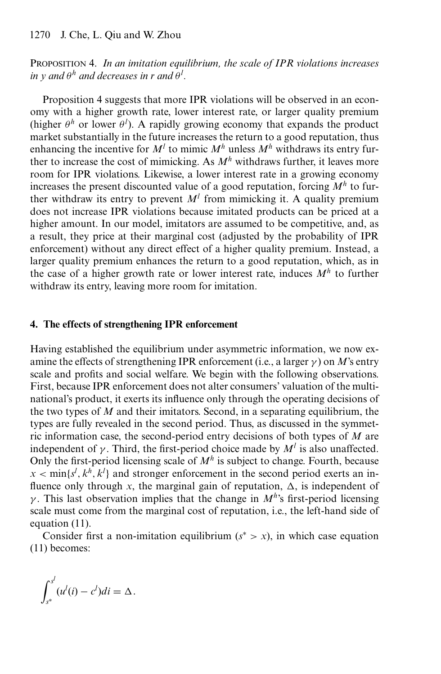# PROPOSITION 4. *In an imitation equilibrium, the scale of IPR violations increases*  $i$ *n*  $y$  *and*  $\theta$ <sup>*h*</sup> *and decreases in r and*  $\theta$ <sup>*l</sup>.*</sup>

Proposition 4 suggests that more IPR violations will be observed in an economy with a higher growth rate, lower interest rate, or larger quality premium (higher  $\theta^h$  or lower  $\theta^l$ ). A rapidly growing economy that expands the product market substantially in the future increases the return to a good reputation, thus enhancing the incentive for  $M^l$  to mimic  $M^h$  unless  $M^h$  withdraws its entry further to increase the cost of mimicking. As *M<sup>h</sup>* withdraws further, it leaves more room for IPR violations. Likewise, a lower interest rate in a growing economy increases the present discounted value of a good reputation, forcing  $M<sup>h</sup>$  to further withdraw its entry to prevent  $M<sup>l</sup>$  from mimicking it. A quality premium does not increase IPR violations because imitated products can be priced at a higher amount. In our model, imitators are assumed to be competitive, and, as a result, they price at their marginal cost (adjusted by the probability of IPR enforcement) without any direct effect of a higher quality premium. Instead, a larger quality premium enhances the return to a good reputation, which, as in the case of a higher growth rate or lower interest rate, induces  $M<sup>h</sup>$  to further withdraw its entry, leaving more room for imitation.

#### **4. The effects of strengthening IPR enforcement**

Having established the equilibrium under asymmetric information, we now examine the effects of strengthening IPR enforcement (i.e., a larger  $\gamma$ ) on *M*'s entry scale and profits and social welfare. We begin with the following observations. First, because IPR enforcement does not alter consumers' valuation of the multinational's product, it exerts its influence only through the operating decisions of the two types of *M* and their imitators. Second, in a separating equilibrium, the types are fully revealed in the second period. Thus, as discussed in the symmetric information case, the second-period entry decisions of both types of *M* are independent of  $\gamma$ . Third, the first-period choice made by  $M^l$  is also unaffected. Only the first-period licensing scale of  $M^h$  is subject to change. Fourth, because  $x < \min\{s^l, k^h, k^l\}$  and stronger enforcement in the second period exerts an influence only through x, the marginal gain of reputation,  $\Delta$ , is independent of γ . This last observation implies that the change in *M<sup>h</sup>*'s first-period licensing scale must come from the marginal cost of reputation, i.e., the left-hand side of equation (11).

Consider first a non-imitation equilibrium  $(s^* > x)$ , in which case equation (11) becomes:

$$
\int_{s^*}^{s^l} (u^l(i) - c^l)di = \Delta.
$$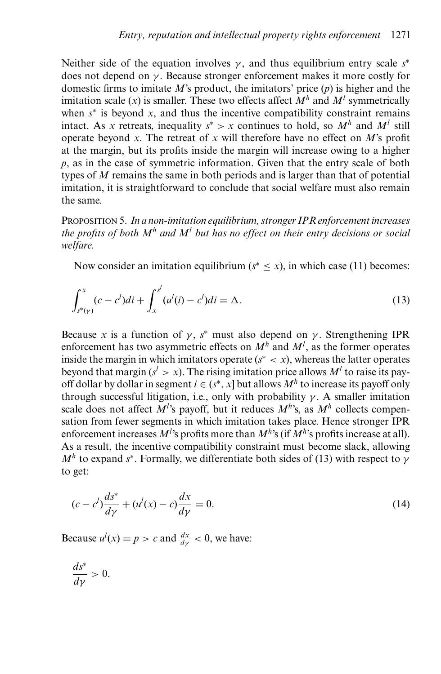Neither side of the equation involves  $\gamma$ , and thus equilibrium entry scale  $s^*$ does not depend on  $\gamma$ . Because stronger enforcement makes it more costly for domestic firms to imitate *M*'s product, the imitators' price (*p*) is higher and the imitation scale  $(x)$  is smaller. These two effects affect  $M<sup>h</sup>$  and  $M<sup>l</sup>$  symmetrically when  $s^*$  is beyond *x*, and thus the incentive compatibility constraint remains intact. As *x* retreats, inequality  $s^* > x$  continues to hold, so  $M^h$  and  $M^l$  still operate beyond *x*. The retreat of *x* will therefore have no effect on *M*'s profit at the margin, but its profits inside the margin will increase owing to a higher *p*, as in the case of symmetric information. Given that the entry scale of both types of *M* remains the same in both periods and is larger than that of potential imitation, it is straightforward to conclude that social welfare must also remain the same.

PROPOSITION 5. *In a non-imitation equilibrium, stronger IPR enforcement increases the profits of both M<sup>h</sup> and M<sup>l</sup> but has no effect on their entry decisions or social welfare.*

Now consider an imitation equilibrium ( $s^* \leq x$ ), in which case (11) becomes:

$$
\int_{s^*(\gamma)}^x (c - c^l) \, di + \int_x^{s^l} (u^l(i) - c^l) \, di = \Delta \,. \tag{13}
$$

Because *x* is a function of  $\gamma$ ,  $s^*$  must also depend on  $\gamma$ . Strengthening IPR enforcement has two asymmetric effects on  $M<sup>h</sup>$  and  $M<sup>l</sup>$ , as the former operates inside the margin in which imitators operate  $(s^* < x)$ , whereas the latter operates beyond that margin  $(s^l > x)$ . The rising imitation price allows  $M^l$  to raise its payoff dollar by dollar in segment  $i \in (s^*, x]$  but allows  $M^h$  to increase its payoff only through successful litigation, i.e., only with probability  $\gamma$ . A smaller imitation scale does not affect  $M^{l}$ 's payoff, but it reduces  $M^{h}$ 's, as  $M^{h}$  collects compensation from fewer segments in which imitation takes place. Hence stronger IPR enforcement increases *M<sup>l</sup>* 's profits more than *M<sup>h</sup>*'s (if *M<sup>h</sup>*'s profits increase at all). As a result, the incentive compatibility constraint must become slack, allowing  $M<sup>h</sup>$  to expand *s*<sup>\*</sup>. Formally, we differentiate both sides of (13) with respect to γ to get:

$$
(c - c^{l})\frac{ds^{*}}{d\gamma} + (u^{l}(x) - c)\frac{dx}{d\gamma} = 0.
$$
 (14)

Because  $u^l(x) = p > c$  and  $\frac{dx}{dy} < 0$ , we have:

$$
\frac{ds^*}{d\gamma} > 0.
$$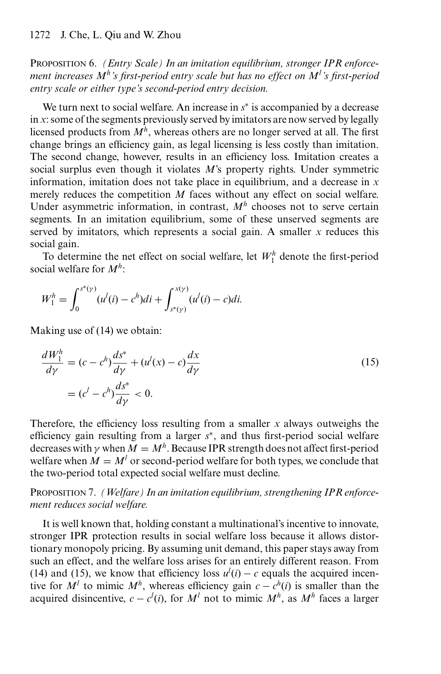PROPOSITION 6. *(Entry Scale) In an imitation equilibrium, stronger IPR enforcement increases Mh's first-period entry scale but has no effect on Ml 's first-period entry scale or either type's second-period entry decision.*

We turn next to social welfare. An increase in *s*<sup>∗</sup> is accompanied by a decrease in *x*: some of the segments previously served by imitators are now served by legally licensed products from  $M^h$ , whereas others are no longer served at all. The first change brings an efficiency gain, as legal licensing is less costly than imitation. The second change, however, results in an efficiency loss. Imitation creates a social surplus even though it violates *M*'s property rights. Under symmetric information, imitation does not take place in equilibrium, and a decrease in *x* merely reduces the competition *M* faces without any effect on social welfare. Under asymmetric information, in contrast,  $M<sup>h</sup>$  chooses not to serve certain segments. In an imitation equilibrium, some of these unserved segments are served by imitators, which represents a social gain. A smaller *x* reduces this social gain.

To determine the net effect on social welfare, let  $W_1^h$  denote the first-period social welfare for *M<sup>h</sup>*:

$$
W_1^h = \int_0^{s^*(y)} (u^l(i) - c^h)di + \int_{s^*(y)}^{x(y)} (u^l(i) - c)di.
$$

Making use of (14) we obtain:

$$
\frac{dW_1^h}{d\gamma} = (c - c^h) \frac{ds^*}{d\gamma} + (u^l(x) - c) \frac{dx}{d\gamma}
$$
  
= 
$$
(c^l - c^h) \frac{ds^*}{d\gamma} < 0.
$$
 (15)

Therefore, the efficiency loss resulting from a smaller *x* always outweighs the efficiency gain resulting from a larger *s*<sup>∗</sup>, and thus first-period social welfare decreases with  $\gamma$  when  $M = M^h$ . Because IPR strength does not affect first-period welfare when  $M = M^l$  or second-period welfare for both types, we conclude that the two-period total expected social welfare must decline.

PROPOSITION 7. *(Welfare) In an imitation equilibrium, strengthening IPR enforcement reduces social welfare.*

It is well known that, holding constant a multinational's incentive to innovate, stronger IPR protection results in social welfare loss because it allows distortionary monopoly pricing. By assuming unit demand, this paper stays away from such an effect, and the welfare loss arises for an entirely different reason. From (14) and (15), we know that efficiency loss  $u^l(i) - c$  equals the acquired incentive for  $M^l$  to mimic  $M^h$ , whereas efficiency gain  $c - c^h(i)$  is smaller than the acquired disincentive,  $c - c^l(i)$ , for  $M^l$  not to mimic  $M^h$ , as  $M^h$  faces a larger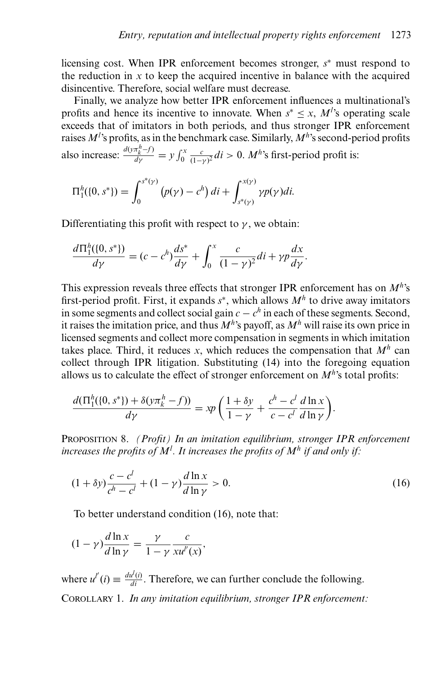licensing cost. When IPR enforcement becomes stronger, *s*<sup>∗</sup> must respond to the reduction in  $x$  to keep the acquired incentive in balance with the acquired disincentive. Therefore, social welfare must decrease.

Finally, we analyze how better IPR enforcement influences a multinational's profits and hence its incentive to innovate. When  $s^* \leq x$ ,  $M^l$ 's operating scale exceeds that of imitators in both periods, and thus stronger IPR enforcement raises *M<sup>l</sup>* 's profits, as in the benchmark case. Similarly, *M<sup>h</sup>*'s second-period profits also increase:  $\frac{d(y\pi_k^h - f)}{dy} = y \int_0^x \frac{c}{(1-y)^2} di > 0$ . *M*<sup>*h*</sup>'s first-period profit is:

$$
\Pi_1^h(\{0, s^*\}) = \int_0^{s^*(\gamma)} (p(\gamma) - c^h) dt + \int_{s^*(\gamma)}^{x(\gamma)} \gamma p(\gamma) dt.
$$

Differentiating this profit with respect to  $\gamma$ , we obtain:

$$
\frac{d\Pi_1^h(\{0, s^*\})}{d\gamma} = (c - c^h)\frac{ds^*}{d\gamma} + \int_0^x \frac{c}{(1 - \gamma)^2} dt + \gamma p \frac{dx}{d\gamma}.
$$

This expression reveals three effects that stronger IPR enforcement has on *M<sup>h</sup>*'s first-period profit. First, it expands *s*<sup>∗</sup>, which allows *M<sup>h</sup>* to drive away imitators in some segments and collect social gain  $c - c<sup>h</sup>$  in each of these segments. Second, it raises the imitation price, and thus  $M^h$ 's payoff, as  $M^h$  will raise its own price in licensed segments and collect more compensation in segments in which imitation takes place. Third, it reduces *x*, which reduces the compensation that  $M^h$  can collect through IPR litigation. Substituting (14) into the foregoing equation allows us to calculate the effect of stronger enforcement on  $M<sup>h</sup>$ 's total profits:

$$
\frac{d(\Pi_1^h(\{0,s^*\})+\delta(y\pi_k^h-f))}{d\gamma}=\kappa p\left(\frac{1+\delta y}{1-\gamma}+\frac{c^h-c^l}{c-c^l}\frac{d\ln x}{d\ln \gamma}\right).
$$

PROPOSITION 8. *(Profit) In an imitation equilibrium, stronger IPR enforcement increases the profits of M<sup>l</sup> . It increases the profits of M<sup>h</sup> if and only if:*

$$
(1 + \delta y) \frac{c - c^l}{c^h - c^l} + (1 - \gamma) \frac{d \ln x}{d \ln \gamma} > 0.
$$
 (16)

To better understand condition (16), note that:

$$
(1 - \gamma) \frac{d \ln x}{d \ln \gamma} = \frac{\gamma}{1 - \gamma} \frac{c}{x u''(x)},
$$

where  $u^{i'}(i) \equiv \frac{du^{i}(i)}{di}$ . Therefore, we can further conclude the following. COROLLARY 1. *In any imitation equilibrium, stronger IPR enforcement:*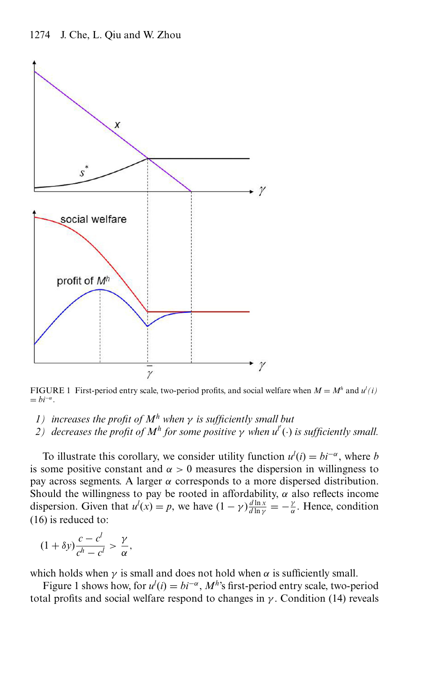

FIGURE 1 First-period entry scale, two-period profits, and social welfare when  $M = M<sup>h</sup>$  and  $u<sup>l</sup>(i)$  $= bi^{-\alpha}.$ 

- *1) increases the profit of M<sup>h</sup> when* γ *is sufficiently small but*
- *2) decreases the profit of M<sup>h</sup> for some positive* γ *when ul* (·) *is sufficiently small.*

To illustrate this corollary, we consider utility function  $u^{l}(i) = bi^{-\alpha}$ , where *b* is some positive constant and  $\alpha > 0$  measures the dispersion in willingness to pay across segments. A larger  $\alpha$  corresponds to a more dispersed distribution. Should the willingness to pay be rooted in affordability,  $\alpha$  also reflects income dispersion. Given that  $u^l(x) = p$ , we have  $(1 - \gamma) \frac{d \ln x}{d \ln \gamma} = -\frac{\gamma}{\alpha}$ . Hence, condition (16) is reduced to:

$$
(1+\delta y)\frac{c-c^l}{c^h-c^l} > \frac{\gamma}{\alpha},
$$

which holds when  $\gamma$  is small and does not hold when  $\alpha$  is sufficiently small.

Figure 1 shows how, for  $u^l(i) = bi^{-\alpha}$ ,  $M^h$ 's first-period entry scale, two-period total profits and social welfare respond to changes in  $\gamma$ . Condition (14) reveals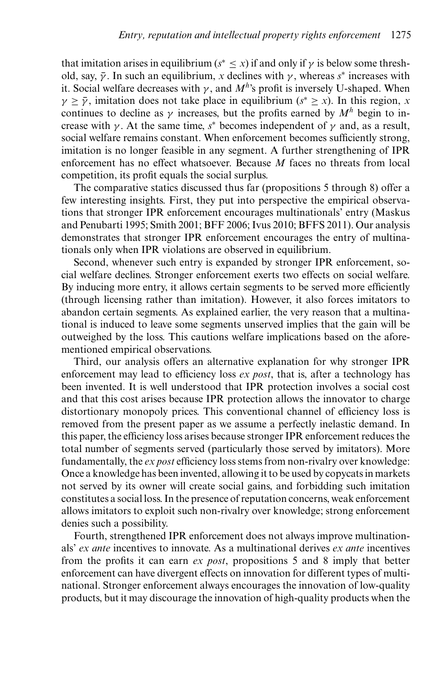that imitation arises in equilibrium ( $s^* \leq x$ ) if and only if  $\gamma$  is below some threshold, say,  $\bar{y}$ . In such an equilibrium, *x* declines with  $\gamma$ , whereas *s*<sup>\*</sup> increases with it. Social welfare decreases with  $\gamma$ , and  $M^h$ 's profit is inversely U-shaped. When  $\gamma \geq \bar{\gamma}$ , imitation does not take place in equilibrium ( $s^* \geq x$ ). In this region, *x* continues to decline as  $\gamma$  increases, but the profits earned by  $M^h$  begin to increase with  $\gamma$ . At the same time,  $s^*$  becomes independent of  $\gamma$  and, as a result, social welfare remains constant. When enforcement becomes sufficiently strong, imitation is no longer feasible in any segment. A further strengthening of IPR enforcement has no effect whatsoever. Because *M* faces no threats from local competition, its profit equals the social surplus.

The comparative statics discussed thus far (propositions 5 through 8) offer a few interesting insights. First, they put into perspective the empirical observations that stronger IPR enforcement encourages multinationals' entry (Maskus and Penubarti 1995; Smith 2001; BFF 2006; Ivus 2010; BFFS 2011). Our analysis demonstrates that stronger IPR enforcement encourages the entry of multinationals only when IPR violations are observed in equilibrium.

Second, whenever such entry is expanded by stronger IPR enforcement, social welfare declines. Stronger enforcement exerts two effects on social welfare. By inducing more entry, it allows certain segments to be served more efficiently (through licensing rather than imitation). However, it also forces imitators to abandon certain segments. As explained earlier, the very reason that a multinational is induced to leave some segments unserved implies that the gain will be outweighed by the loss. This cautions welfare implications based on the aforementioned empirical observations.

Third, our analysis offers an alternative explanation for why stronger IPR enforcement may lead to efficiency loss *ex post*, that is, after a technology has been invented. It is well understood that IPR protection involves a social cost and that this cost arises because IPR protection allows the innovator to charge distortionary monopoly prices. This conventional channel of efficiency loss is removed from the present paper as we assume a perfectly inelastic demand. In this paper, the efficiency loss arises because stronger IPR enforcement reduces the total number of segments served (particularly those served by imitators). More fundamentally, the *ex post* efficiency loss stems from non-rivalry over knowledge: Once a knowledge has been invented, allowing it to be used by copycats in markets not served by its owner will create social gains, and forbidding such imitation constitutes a social loss. In the presence of reputation concerns, weak enforcement allows imitators to exploit such non-rivalry over knowledge; strong enforcement denies such a possibility.

Fourth, strengthened IPR enforcement does not always improve multinationals' *ex ante* incentives to innovate. As a multinational derives *ex ante* incentives from the profits it can earn *ex post*, propositions 5 and 8 imply that better enforcement can have divergent effects on innovation for different types of multinational. Stronger enforcement always encourages the innovation of low-quality products, but it may discourage the innovation of high-quality products when the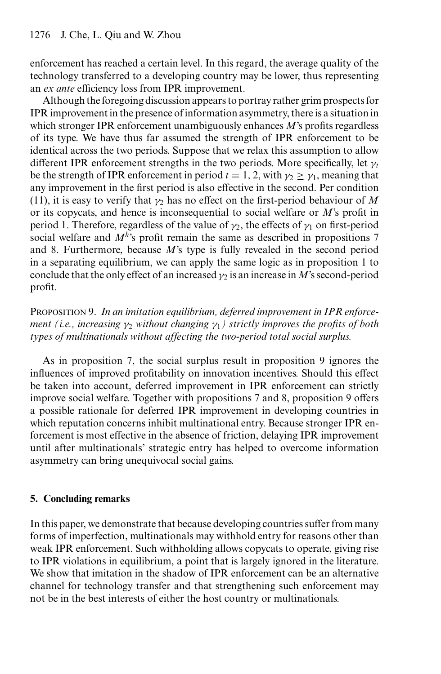enforcement has reached a certain level. In this regard, the average quality of the technology transferred to a developing country may be lower, thus representing an *ex ante* efficiency loss from IPR improvement.

Although the foregoing discussion appears to portray rather grim prospects for IPR improvement in the presence of information asymmetry, there is a situation in which stronger IPR enforcement unambiguously enhances *M*'s profits regardless of its type. We have thus far assumed the strength of IPR enforcement to be identical across the two periods. Suppose that we relax this assumption to allow different IPR enforcement strengths in the two periods. More specifically, let γ*<sup>t</sup>* be the strength of IPR enforcement in period  $t = 1, 2$ , with  $\gamma_2 \geq \gamma_1$ , meaning that any improvement in the first period is also effective in the second. Per condition (11), it is easy to verify that  $\gamma_2$  has no effect on the first-period behaviour of M or its copycats, and hence is inconsequential to social welfare or *M*'s profit in period 1. Therefore, regardless of the value of  $\gamma_2$ , the effects of  $\gamma_1$  on first-period social welfare and *M<sup>h</sup>*'s profit remain the same as described in propositions 7 and 8. Furthermore, because *M*'s type is fully revealed in the second period in a separating equilibrium, we can apply the same logic as in proposition 1 to conclude that the only effect of an increased  $\gamma_2$  is an increase in *M*'s second-period profit.

PROPOSITION 9. *In an imitation equilibrium, deferred improvement in IPR enforcement (i.e., increasing*  $\gamma_2$  *without changing*  $\gamma_1$ ) *strictly improves the profits of both types of multinationals without affecting the two-period total social surplus.*

As in proposition 7, the social surplus result in proposition 9 ignores the influences of improved profitability on innovation incentives. Should this effect be taken into account, deferred improvement in IPR enforcement can strictly improve social welfare. Together with propositions 7 and 8, proposition 9 offers a possible rationale for deferred IPR improvement in developing countries in which reputation concerns inhibit multinational entry. Because stronger IPR enforcement is most effective in the absence of friction, delaying IPR improvement until after multinationals' strategic entry has helped to overcome information asymmetry can bring unequivocal social gains.

# **5. Concluding remarks**

In this paper, we demonstrate that because developing countries suffer from many forms of imperfection, multinationals may withhold entry for reasons other than weak IPR enforcement. Such withholding allows copycats to operate, giving rise to IPR violations in equilibrium, a point that is largely ignored in the literature. We show that imitation in the shadow of IPR enforcement can be an alternative channel for technology transfer and that strengthening such enforcement may not be in the best interests of either the host country or multinationals.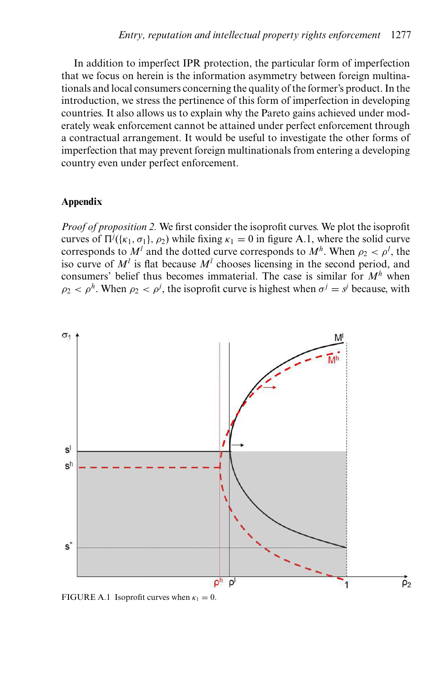In addition to imperfect IPR protection, the particular form of imperfection that we focus on herein is the information asymmetry between foreign multinationals and local consumers concerning the quality of the former's product. In the introduction, we stress the pertinence of this form of imperfection in developing countries. It also allows us to explain why the Pareto gains achieved under moderately weak enforcement cannot be attained under perfect enforcement through a contractual arrangement. It would be useful to investigate the other forms of imperfection that may prevent foreign multinationals from entering a developing country even under perfect enforcement.

## **Appendix**

*Proof of proposition 2.* We first consider the isoprofit curves. We plot the isoprofit curves of  $\Pi^j({\kappa_1, \sigma_1}, \rho_2)$  while fixing  $\kappa_1 = 0$  in figure A.1, where the solid curve corresponds to  $M^l$  and the dotted curve corresponds to  $M^h$ . When  $\rho_2 < \rho^l$ , the iso curve of  $M^l$  is flat because  $M^l$  chooses licensing in the second period, and consumers' belief thus becomes immaterial. The case is similar for *M<sup>h</sup>* when  $\rho_2 < \rho^h$ . When  $\rho_2 < \rho^j$ , the isoprofit curve is highest when  $\sigma^j = s^j$  because, with



FIGURE A.1 Isoprofit curves when  $\kappa_1 = 0$ .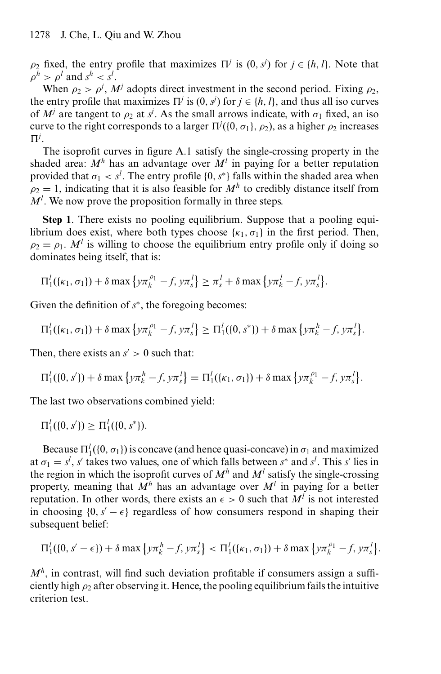$\rho_2$  fixed, the entry profile that maximizes  $\Pi^j$  is  $(0, s^j)$  for  $j \in \{h, l\}$ . Note that  $\rho^h > \rho^l$  and  $s^h < s^l$ .

When  $\rho_2 > \rho^j$ ,  $M^j$  adopts direct investment in the second period. Fixing  $\rho_2$ , the entry profile that maximizes  $\Pi^j$  is  $(0, s^j)$  for  $j \in \{h, l\}$ , and thus all iso curves of  $M^j$  are tangent to  $\rho_2$  at  $s^j$ . As the small arrows indicate, with  $\sigma_1$  fixed, an iso curve to the right corresponds to a larger  $\Pi^j(\{0, \sigma_1\}, \rho_2)$ , as a higher  $\rho_2$  increases  $\Pi^j$ .

The isoprofit curves in figure A.1 satisfy the single-crossing property in the shaded area:  $M^h$  has an advantage over  $M^l$  in paying for a better reputation provided that  $\sigma_1 < s^l$ . The entry profile  $\{0, s^*\}$  falls within the shaded area when  $\rho_2 = 1$ , indicating that it is also feasible for  $M^h$  to credibly distance itself from  $M<sup>l</sup>$ . We now prove the proposition formally in three steps.

**Step 1**. There exists no pooling equilibrium. Suppose that a pooling equilibrium does exist, where both types choose  $\{\kappa_1, \sigma_1\}$  in the first period. Then,  $\rho_2 = \rho_1$ . *M<sup>l</sup>* is willing to choose the equilibrium entry profile only if doing so dominates being itself, that is:

$$
\Pi_1^l(\{\kappa_1,\sigma_1\})+\delta\max\left\{\gamma\pi_k^{\rho_1}-f,\gamma\pi_s^l\right\}\geq \pi_s^l+\delta\max\left\{\gamma\pi_k^l-f,\gamma\pi_s^l\right\}.
$$

Given the definition of *s*<sup>∗</sup>, the foregoing becomes:

$$
\Pi_1^l(\{\kappa_1,\sigma_1\})+\delta \max \left\{y\pi_k^{\rho_1}-f, y\pi_s^l\right\} \geq \Pi_1^l(\{0, s^*\})+\delta \max \left\{y\pi_k^h-f, y\pi_s^l\right\}.
$$

Then, there exists an  $s' > 0$  such that:

$$
\Pi_1^l(\{0, s'\}) + \delta \max \left\{ y \pi_k^h - f, y \pi_s^l \right\} = \Pi_1^l(\{\kappa_1, \sigma_1\}) + \delta \max \left\{ y \pi_k^{\rho_1} - f, y \pi_s^l \right\}.
$$

The last two observations combined yield:

$$
\Pi_1^l(\{0, s'\}) \ge \Pi_1^l(\{0, s^*\}).
$$

Because  $\Pi_1^l(\{0, \sigma_1\})$  is concave (and hence quasi-concave) in  $\sigma_1$  and maximized at  $\sigma_1 = s^l$ , *s'* takes two values, one of which falls between  $s^*$  and  $s^l$ . This *s'* lies in the region in which the isoprofit curves of  $M<sup>h</sup>$  and  $M<sup>l</sup>$  satisfy the single-crossing property, meaning that  $M^h$  has an advantage over  $M^l$  in paying for a better reputation. In other words, there exists an  $\epsilon > 0$  such that  $M^l$  is not interested in choosing  $\{0, s' - \epsilon\}$  regardless of how consumers respond in shaping their subsequent belief:

$$
\Pi_1^l(\{0, s' - \epsilon\}) + \delta \max \{ \gamma \pi_k^h - f, \gamma \pi_s^l \} < \Pi_1^l(\{\kappa_1, \sigma_1\}) + \delta \max \{ \gamma \pi_k^{\rho_1} - f, \gamma \pi_s^l \}.
$$

 $M<sup>h</sup>$ , in contrast, will find such deviation profitable if consumers assign a sufficiently high  $\rho_2$  after observing it. Hence, the pooling equilibrium fails the intuitive criterion test.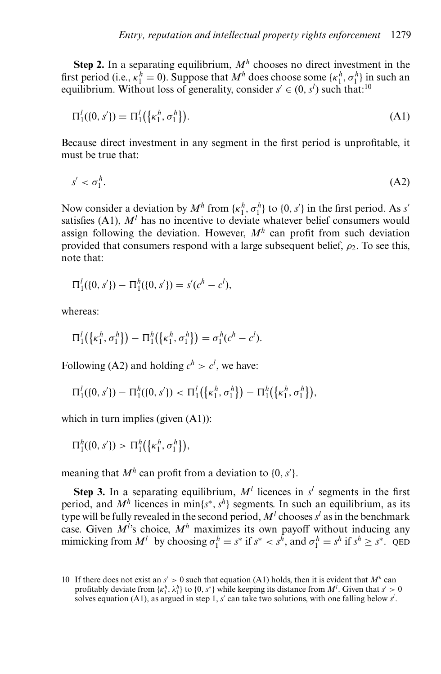**Step 2.** In a separating equilibrium,  $M^h$  chooses no direct investment in the first period (i.e.,  $\kappa_1^h = 0$ ). Suppose that  $M^h$  does choose some  $\{\kappa_1^h, \sigma_1^h\}$  in such an equilibrium. Without loss of generality, consider  $s' \in (0, s')$  such that:<sup>10</sup>

$$
\Pi_1^l(\{0, s'\}) = \Pi_1^l(\{\kappa_1^h, \sigma_1^h\}).
$$
\n(A1)

Because direct investment in any segment in the first period is unprofitable, it must be true that:

$$
s' < \sigma_1^h. \tag{A2}
$$

Now consider a deviation by  $M^h$  from  $\{\kappa_1^h, \sigma_1^h\}$  to  $\{0, s'\}$  in the first period. As *s'* satisfies  $(A1)$ ,  $M<sup>l</sup>$  has no incentive to deviate whatever belief consumers would assign following the deviation. However,  $M<sup>h</sup>$  can profit from such deviation provided that consumers respond with a large subsequent belief,  $\rho_2$ . To see this, note that:

$$
\Pi_1^l(\{0, s'\}) - \Pi_1^h(\{0, s'\}) = s'(c^h - c^l),
$$

whereas:

$$
\Pi_1^l(\{\kappa_1^h, \sigma_1^h\}) - \Pi_1^h(\{\kappa_1^h, \sigma_1^h\}) = \sigma_1^h(c^h - c^l).
$$

Following (A2) and holding  $c^h > c^l$ , we have:

$$
\Pi_1^l(\{0, s'\}) - \Pi_1^h(\{0, s'\}) < \Pi_1^l(\{\kappa_1^h, \sigma_1^h\}) - \Pi_1^h(\{\kappa_1^h, \sigma_1^h\}),
$$

which in turn implies (given (A1)):

 $\Pi_1^h({0, s'}) > \Pi_1^h({\kappa_1^h, \sigma_1^h}),$ 

meaning that  $M^h$  can profit from a deviation to  $\{0, s'\}.$ 

**Step 3.** In a separating equilibrium,  $M^l$  licences in  $s^l$  segments in the first period, and  $M^h$  licences in min $\{s^*, s^h\}$  segments. In such an equilibrium, as its type will be fully revealed in the second period,  $M<sup>l</sup>$  chooses  $s<sup>l</sup>$  as in the benchmark case. Given  $M^{\prime}$ 's choice,  $M^h$  maximizes its own payoff without inducing any mimicking from  $M^l$  by choosing  $\sigma_1^h = s^*$  if  $s^* < s^h$ , and  $\sigma_1^h = s^h$  if  $s^h \ge s^*$ . QED

<sup>10</sup> If there does not exist an  $s' > 0$  such that equation (A1) holds, then it is evident that  $M<sup>h</sup>$  can profitably deviate from  $\{k_1^h, \lambda_1^h\}$  to  $\{0, s^*\}$  while keeping its distance from  $M^l$ . Given that  $s' > 0$ solves equation (A1), as argued in step 1,  $s'$  can take two solutions, with one falling below  $s'$ .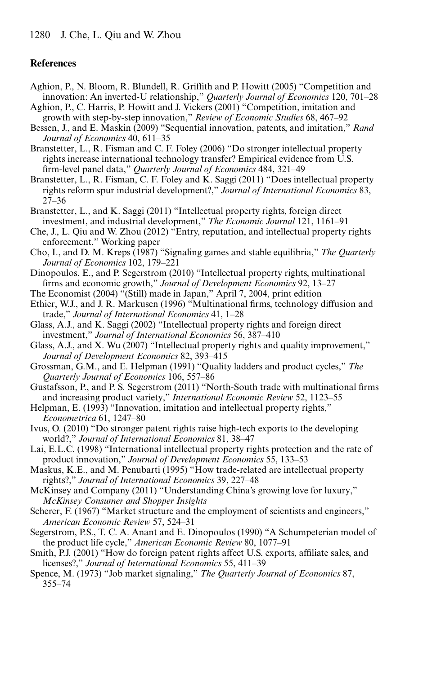## **References**

- Aghion, P., N. Bloom, R. Blundell, R. Griffith and P. Howitt (2005) "Competition and innovation: An inverted-U relationship," *Quarterly Journal of Economics* 120, 701–28
- Aghion, P., C. Harris, P. Howitt and J. Vickers (2001) "Competition, imitation and growth with step-by-step innovation," *Review of Economic Studies* 68, 467–92
- Bessen, J., and E. Maskin (2009) "Sequential innovation, patents, and imitation," *Rand Journal of Economics* 40, 611–35
- Branstetter, L., R. Fisman and C. F. Foley (2006) "Do stronger intellectual property rights increase international technology transfer? Empirical evidence from U.S. firm-level panel data," *Quarterly Journal of Economics* 484, 321–49
- Branstetter, L., R. Fisman, C. F. Foley and K. Saggi (2011) "Does intellectual property rights reform spur industrial development?," *Journal of International Economics* 83, 27–36
- Branstetter, L., and K. Saggi (2011) "Intellectual property rights, foreign direct investment, and industrial development," *The Economic Journal* 121, 1161–91
- Che, J., L. Qiu and W. Zhou (2012) "Entry, reputation, and intellectual property rights enforcement," Working paper
- Cho, I., and D. M. Kreps (1987) "Signaling games and stable equilibria," *The Quarterly Journal of Economics* 102, 179–221
- Dinopoulos, E., and P. Segerstrom (2010) "Intellectual property rights, multinational firms and economic growth," *Journal of Development Economics* 92, 13–27
- The Economist (2004) "(Still) made in Japan," April 7, 2004, print edition
- Ethier, W.J., and J. R. Markusen (1996) "Multinational firms, technology diffusion and trade," *Journal of International Economics* 41, 1–28
- Glass, A.J., and K. Saggi (2002) "Intellectual property rights and foreign direct investment," *Journal of International Economics* 56, 387–410
- Glass, A.J., and X. Wu (2007) "Intellectual property rights and quality improvement," *Journal of Development Economics* 82, 393–415
- Grossman, G.M., and E. Helpman (1991) "Quality ladders and product cycles," *The Quarterly Journal of Economics* 106, 557–86
- Gustafsson, P., and P. S. Segerstrom (2011) "North-South trade with multinational firms and increasing product variety," *International Economic Review* 52, 1123–55
- Helpman, E. (1993) "Innovation, imitation and intellectual property rights," *Econometrica* 61, 1247–80
- Ivus, O. (2010) "Do stronger patent rights raise high-tech exports to the developing world?," *Journal of International Economics* 81, 38–47
- Lai, E.L.C. (1998) "International intellectual property rights protection and the rate of product innovation," *Journal of Development Economics* 55, 133–53
- Maskus, K.E., and M. Penubarti (1995) "How trade-related are intellectual property rights?," *Journal of International Economics* 39, 227–48
- McKinsey and Company (2011) "Understanding China's growing love for luxury," *McKinsey Consumer and Shopper Insights*
- Scherer, F. (1967) "Market structure and the employment of scientists and engineers," *American Economic Review* 57, 524–31
- Segerstrom, P.S., T. C. A. Anant and E. Dinopoulos (1990) "A Schumpeterian model of the product life cycle," *American Economic Review* 80, 1077–91
- Smith, P.J. (2001) "How do foreign patent rights affect U.S. exports, affiliate sales, and licenses?," *Journal of International Economics* 55, 411–39
- Spence, M. (1973) "Job market signaling," *The Quarterly Journal of Economics* 87, 355–74